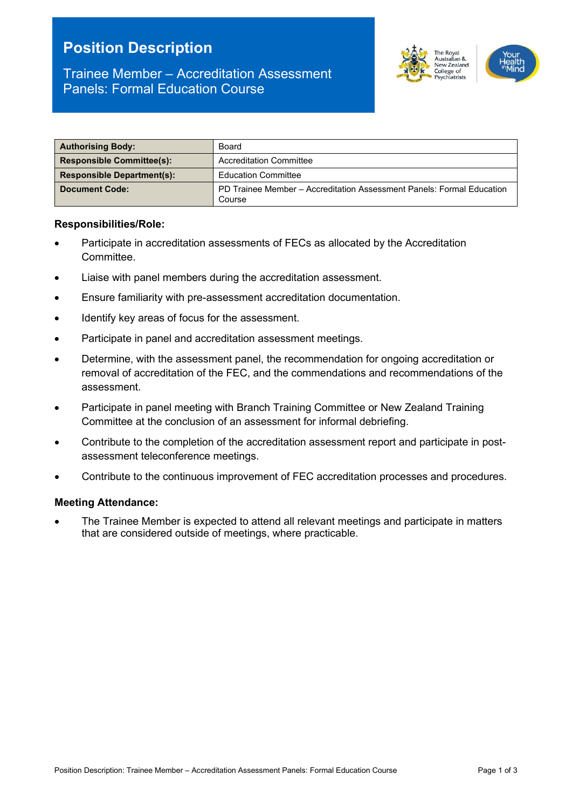# **Position Description**



# Trainee Member – Accreditation Assessment Panels: Formal Education Course

| <b>Authorising Body:</b>          | Board                                                                           |  |
|-----------------------------------|---------------------------------------------------------------------------------|--|
| <b>Responsible Committee(s):</b>  | <b>Accreditation Committee</b>                                                  |  |
| <b>Responsible Department(s):</b> | <b>Education Committee</b>                                                      |  |
| <b>Document Code:</b>             | PD Trainee Member – Accreditation Assessment Panels: Formal Education<br>Course |  |

# **Responsibilities/Role:**

- Participate in accreditation assessments of FECs as allocated by the Accreditation Committee.
- Liaise with panel members during the accreditation assessment.
- Ensure familiarity with pre-assessment accreditation documentation.
- Identify key areas of focus for the assessment.
- Participate in panel and accreditation assessment meetings.
- Determine, with the assessment panel, the recommendation for ongoing accreditation or removal of accreditation of the FEC, and the commendations and recommendations of the assessment.
- Participate in panel meeting with Branch Training Committee or New Zealand Training Committee at the conclusion of an assessment for informal debriefing.
- Contribute to the completion of the accreditation assessment report and participate in postassessment teleconference meetings.
- Contribute to the continuous improvement of FEC accreditation processes and procedures.

#### **Meeting Attendance:**

The Trainee Member is expected to attend all relevant meetings and participate in matters that are considered outside of meetings, where practicable.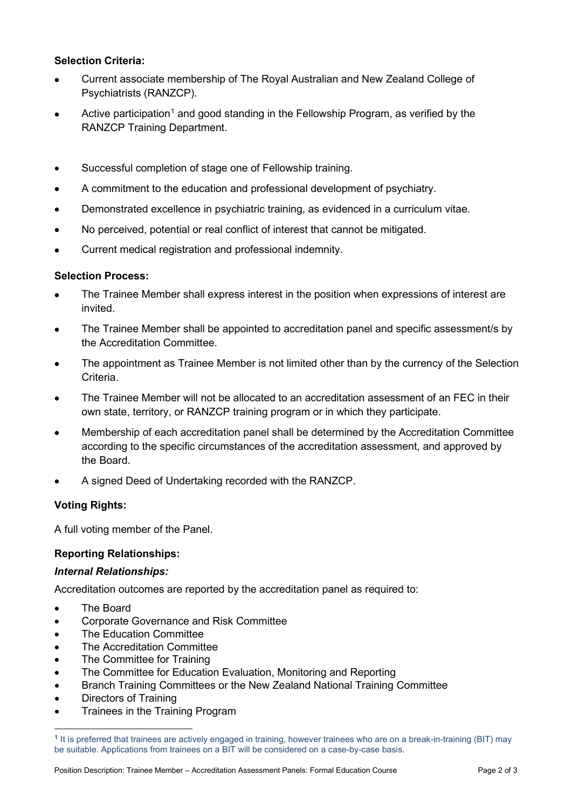# **Selection Criteria:**

- Current associate membership of The Royal Australian and New Zealand College of Psychiatrists (RANZCP).
- Active participation<sup>[1](#page-1-0)</sup> and good standing in the Fellowship Program, as verified by the RANZCP Training Department.
- Successful completion of stage one of Fellowship training.
- A commitment to the education and professional development of psychiatry.
- Demonstrated excellence in psychiatric training, as evidenced in a curriculum vitae.
- No perceived, potential or real conflict of interest that cannot be mitigated.
- Current medical registration and professional indemnity.

# **Selection Process:**

- The Trainee Member shall express interest in the position when expressions of interest are invited.
- The Trainee Member shall be appointed to accreditation panel and specific assessment/s by the Accreditation Committee.
- The appointment as Trainee Member is not limited other than by the currency of the Selection Criteria.
- The Trainee Member will not be allocated to an accreditation assessment of an FFC in their own state, territory, or RANZCP training program or in which they participate.
- Membership of each accreditation panel shall be determined by the Accreditation Committee according to the specific circumstances of the accreditation assessment, and approved by the Board.
- A signed Deed of Undertaking recorded with the RANZCP.

# **Voting Rights:**

A full voting member of the Panel.

# **Reporting Relationships:**

# *Internal Relationships:*

Accreditation outcomes are reported by the accreditation panel as required to:

- **The Board**
- Corporate Governance and Risk Committee
- The Education Committee
- The Accreditation Committee
- The Committee for Training
- The Committee for Education Evaluation, Monitoring and Reporting
- Branch Training Committees or the New Zealand National Training Committee
- Directors of Training
- Trainees in the Training Program

<span id="page-1-0"></span><sup>1</sup> It is preferred that trainees are actively engaged in training, however trainees who are on a break-in-training (BIT) may be suitable. Applications from trainees on a BIT will be considered on a case-by-case basis.